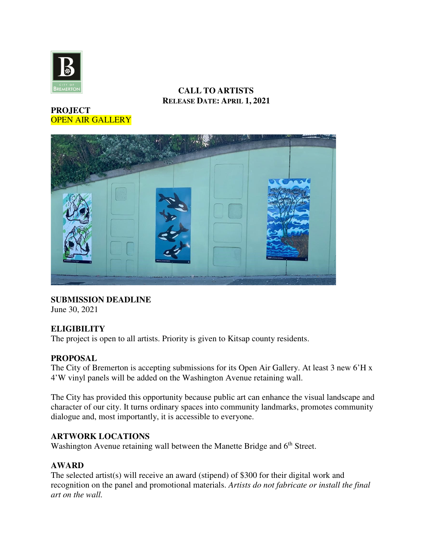

# **CALL TO ARTISTS RELEASE DATE: APRIL 1, 2021**

# **PROJECT**  OPEN AIR GALLERY



**SUBMISSION DEADLINE**  June 30, 2021

# **ELIGIBILITY**

The project is open to all artists. Priority is given to Kitsap county residents.

# **PROPOSAL**

The City of Bremerton is accepting submissions for its Open Air Gallery. At least 3 new 6'H x 4'W vinyl panels will be added on the Washington Avenue retaining wall.

The City has provided this opportunity because public art can enhance the visual landscape and character of our city. It turns ordinary spaces into community landmarks, promotes community dialogue and, most importantly, it is accessible to everyone.

# **ARTWORK LOCATIONS**

Washington Avenue retaining wall between the Manette Bridge and 6<sup>th</sup> Street.

# **AWARD**

The selected artist(s) will receive an award (stipend) of \$300 for their digital work and recognition on the panel and promotional materials. *Artists do not fabricate or install the final art on the wall.*